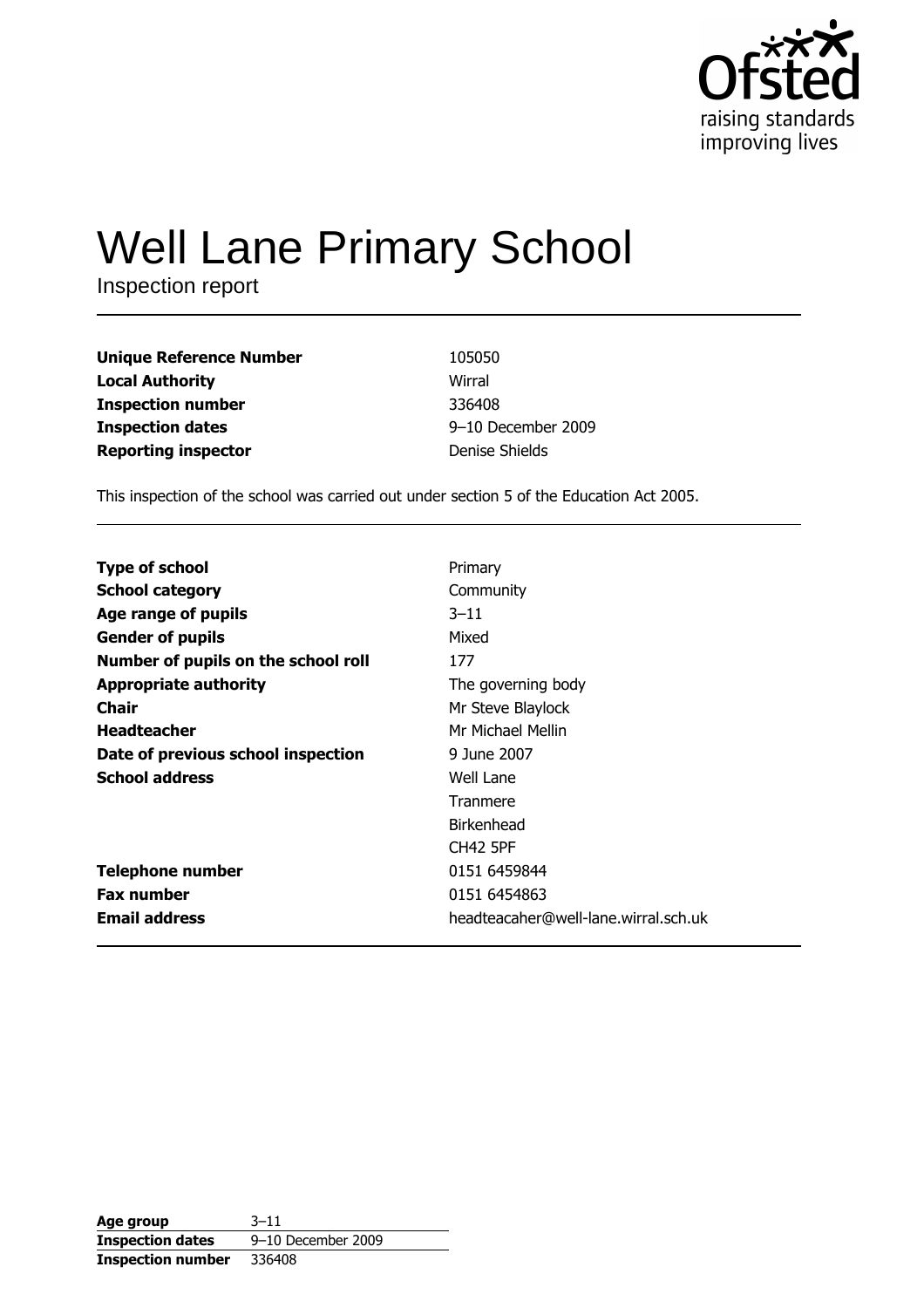

# **Well Lane Primary School**

Inspection report

| <b>Unique Reference Number</b> | 105050             |
|--------------------------------|--------------------|
| <b>Local Authority</b>         | Wirral             |
| <b>Inspection number</b>       | 336408             |
| <b>Inspection dates</b>        | 9-10 December 2009 |
| <b>Reporting inspector</b>     | Denise Shields     |

This inspection of the school was carried out under section 5 of the Education Act 2005.

| <b>Type of school</b>               | Primary                              |
|-------------------------------------|--------------------------------------|
| <b>School category</b>              | Community                            |
| Age range of pupils                 | $3 - 11$                             |
| <b>Gender of pupils</b>             | Mixed                                |
| Number of pupils on the school roll | 177                                  |
| <b>Appropriate authority</b>        | The governing body                   |
| Chair                               | Mr Steve Blaylock                    |
| <b>Headteacher</b>                  | Mr Michael Mellin                    |
| Date of previous school inspection  | 9 June 2007                          |
| <b>School address</b>               | Well Lane                            |
|                                     | Tranmere                             |
|                                     | Birkenhead                           |
|                                     | <b>CH42 5PF</b>                      |
| <b>Telephone number</b>             | 0151 6459844                         |
| <b>Fax number</b>                   | 0151 6454863                         |
| <b>Email address</b>                | headteacaher@well-lane.wirral.sch.uk |

| Age group               | $3 - 11$           |
|-------------------------|--------------------|
| <b>Inspection dates</b> | 9-10 December 2009 |
| Inspection number       | 336408             |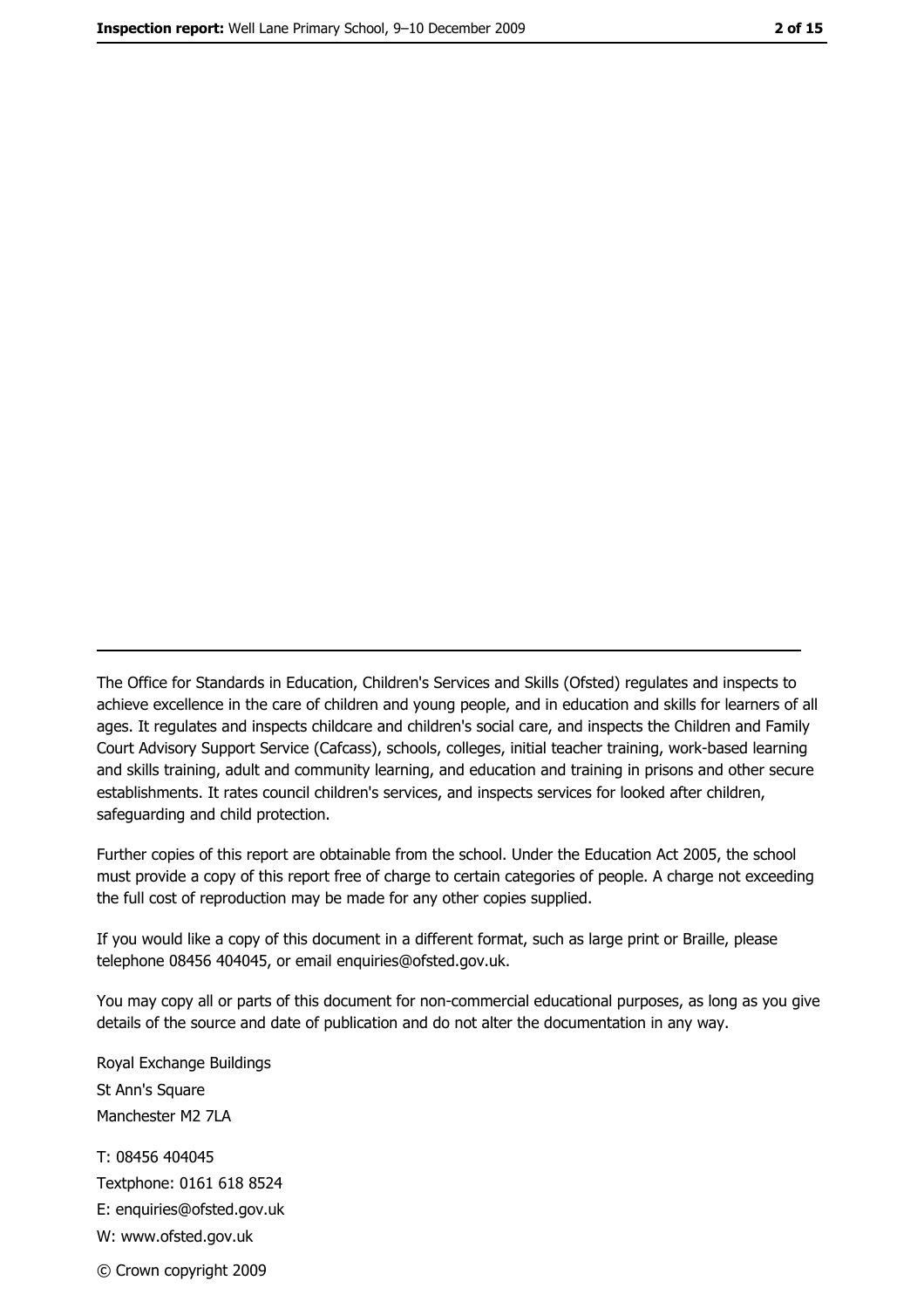The Office for Standards in Education, Children's Services and Skills (Ofsted) regulates and inspects to achieve excellence in the care of children and young people, and in education and skills for learners of all ages. It regulates and inspects childcare and children's social care, and inspects the Children and Family Court Advisory Support Service (Cafcass), schools, colleges, initial teacher training, work-based learning and skills training, adult and community learning, and education and training in prisons and other secure establishments. It rates council children's services, and inspects services for looked after children, safequarding and child protection.

Further copies of this report are obtainable from the school. Under the Education Act 2005, the school must provide a copy of this report free of charge to certain categories of people. A charge not exceeding the full cost of reproduction may be made for any other copies supplied.

If you would like a copy of this document in a different format, such as large print or Braille, please telephone 08456 404045, or email enquiries@ofsted.gov.uk.

You may copy all or parts of this document for non-commercial educational purposes, as long as you give details of the source and date of publication and do not alter the documentation in any way.

Royal Exchange Buildings St Ann's Square Manchester M2 7LA T: 08456 404045 Textphone: 0161 618 8524 E: enquiries@ofsted.gov.uk W: www.ofsted.gov.uk © Crown copyright 2009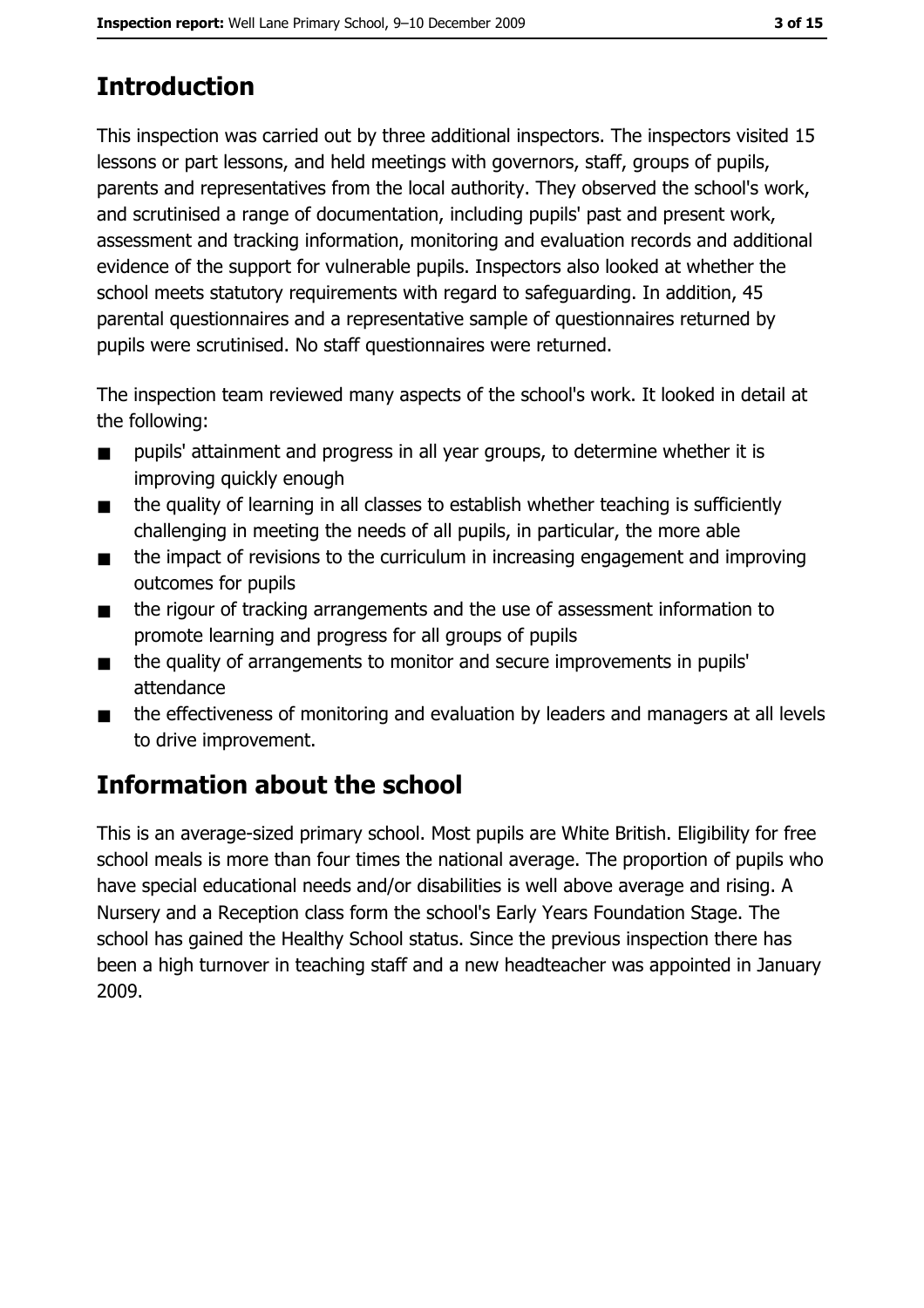# **Introduction**

This inspection was carried out by three additional inspectors. The inspectors visited 15 lessons or part lessons, and held meetings with governors, staff, groups of pupils, parents and representatives from the local authority. They observed the school's work, and scrutinised a range of documentation, including pupils' past and present work, assessment and tracking information, monitoring and evaluation records and additional evidence of the support for vulnerable pupils. Inspectors also looked at whether the school meets statutory requirements with regard to safeguarding. In addition, 45 parental questionnaires and a representative sample of questionnaires returned by pupils were scrutinised. No staff questionnaires were returned.

The inspection team reviewed many aspects of the school's work. It looked in detail at the following:

- pupils' attainment and progress in all year groups, to determine whether it is  $\blacksquare$ improving quickly enough
- the quality of learning in all classes to establish whether teaching is sufficiently  $\blacksquare$ challenging in meeting the needs of all pupils, in particular, the more able
- the impact of revisions to the curriculum in increasing engagement and improving  $\blacksquare$ outcomes for pupils
- the rigour of tracking arrangements and the use of assessment information to  $\blacksquare$ promote learning and progress for all groups of pupils
- the quality of arrangements to monitor and secure improvements in pupils'  $\blacksquare$ attendance
- the effectiveness of monitoring and evaluation by leaders and managers at all levels  $\blacksquare$ to drive improvement.

# **Information about the school**

This is an average-sized primary school. Most pupils are White British. Eligibility for free school meals is more than four times the national average. The proportion of pupils who have special educational needs and/or disabilities is well above average and rising. A Nursery and a Reception class form the school's Early Years Foundation Stage. The school has gained the Healthy School status. Since the previous inspection there has been a high turnover in teaching staff and a new headteacher was appointed in January 2009.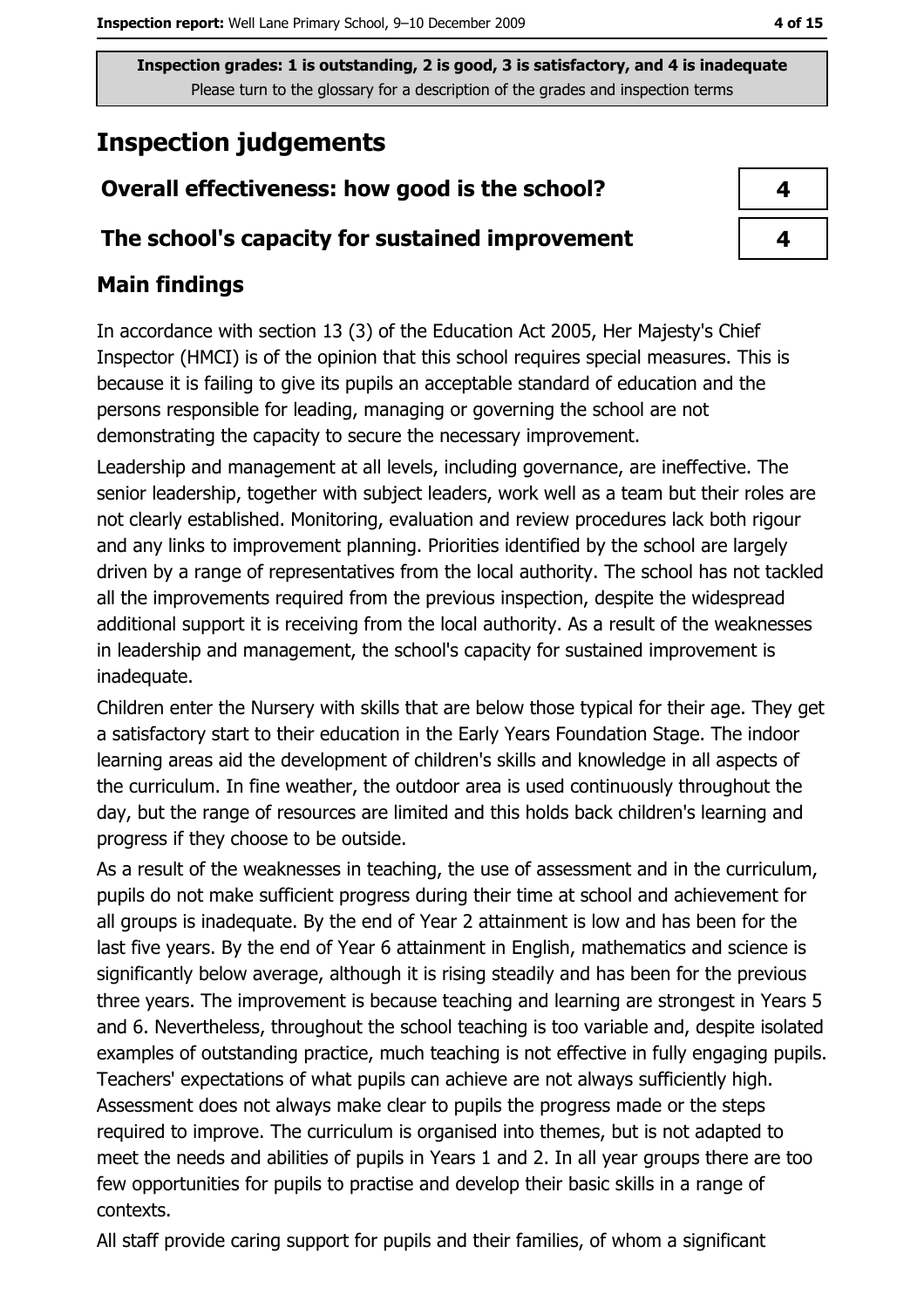# **Inspection judgements**

# Overall effectiveness: how good is the school?

### The school's capacity for sustained improvement

# **Main findings**

In accordance with section 13 (3) of the Education Act 2005, Her Majesty's Chief Inspector (HMCI) is of the opinion that this school requires special measures. This is because it is failing to give its pupils an acceptable standard of education and the persons responsible for leading, managing or governing the school are not demonstrating the capacity to secure the necessary improvement.

Leadership and management at all levels, including governance, are ineffective. The senior leadership, together with subject leaders, work well as a team but their roles are not clearly established. Monitoring, evaluation and review procedures lack both rigour and any links to improvement planning. Priorities identified by the school are largely driven by a range of representatives from the local authority. The school has not tackled all the improvements required from the previous inspection, despite the widespread additional support it is receiving from the local authority. As a result of the weaknesses in leadership and management, the school's capacity for sustained improvement is inadequate.

Children enter the Nursery with skills that are below those typical for their age. They get a satisfactory start to their education in the Early Years Foundation Stage. The indoor learning areas aid the development of children's skills and knowledge in all aspects of the curriculum. In fine weather, the outdoor area is used continuously throughout the day, but the range of resources are limited and this holds back children's learning and progress if they choose to be outside.

As a result of the weaknesses in teaching, the use of assessment and in the curriculum, pupils do not make sufficient progress during their time at school and achievement for all groups is inadequate. By the end of Year 2 attainment is low and has been for the last five years. By the end of Year 6 attainment in English, mathematics and science is significantly below average, although it is rising steadily and has been for the previous three years. The improvement is because teaching and learning are strongest in Years 5 and 6. Nevertheless, throughout the school teaching is too variable and, despite isolated examples of outstanding practice, much teaching is not effective in fully engaging pupils. Teachers' expectations of what pupils can achieve are not always sufficiently high. Assessment does not always make clear to pupils the progress made or the steps required to improve. The curriculum is organised into themes, but is not adapted to meet the needs and abilities of pupils in Years 1 and 2. In all year groups there are too few opportunities for pupils to practise and develop their basic skills in a range of contexts.

All staff provide caring support for pupils and their families, of whom a significant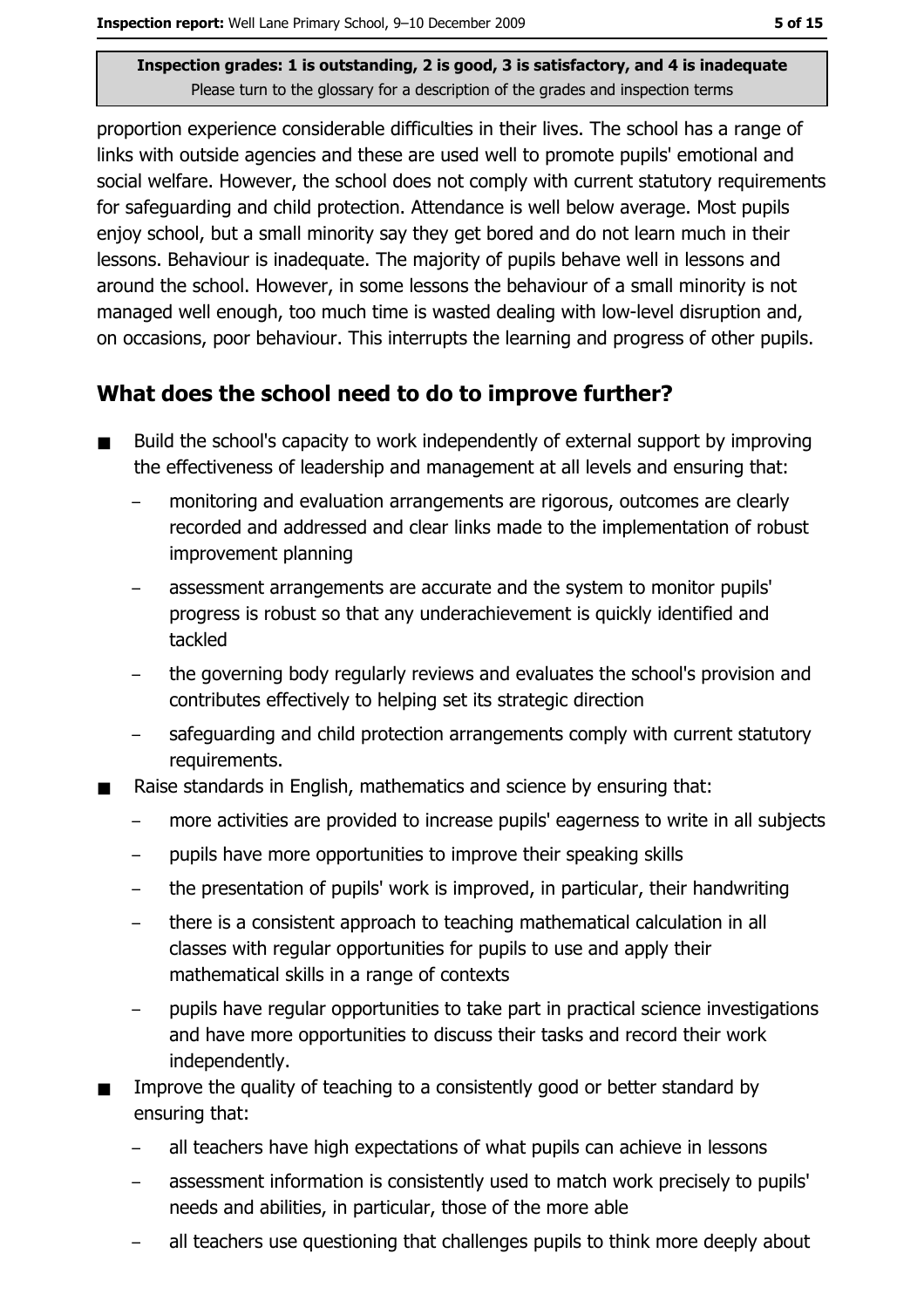proportion experience considerable difficulties in their lives. The school has a range of links with outside agencies and these are used well to promote pupils' emotional and social welfare. However, the school does not comply with current statutory requirements for safeguarding and child protection. Attendance is well below average. Most pupils enjoy school, but a small minority say they get bored and do not learn much in their lessons. Behaviour is inadequate. The majority of pupils behave well in lessons and around the school. However, in some lessons the behaviour of a small minority is not managed well enough, too much time is wasted dealing with low-level disruption and, on occasions, poor behaviour. This interrupts the learning and progress of other pupils.

# What does the school need to do to improve further?

- Build the school's capacity to work independently of external support by improving the effectiveness of leadership and management at all levels and ensuring that:
	- monitoring and evaluation arrangements are rigorous, outcomes are clearly recorded and addressed and clear links made to the implementation of robust improvement planning
	- assessment arrangements are accurate and the system to monitor pupils' progress is robust so that any underachievement is quickly identified and tackled
	- the governing body regularly reviews and evaluates the school's provision and contributes effectively to helping set its strategic direction
	- safeguarding and child protection arrangements comply with current statutory requirements.
- Raise standards in English, mathematics and science by ensuring that:
	- more activities are provided to increase pupils' eagerness to write in all subjects
	- pupils have more opportunities to improve their speaking skills
	- the presentation of pupils' work is improved, in particular, their handwriting
	- there is a consistent approach to teaching mathematical calculation in all classes with regular opportunities for pupils to use and apply their mathematical skills in a range of contexts
	- pupils have regular opportunities to take part in practical science investigations and have more opportunities to discuss their tasks and record their work independently.
- Improve the quality of teaching to a consistently good or better standard by ensuring that:
	- $\equiv$ all teachers have high expectations of what pupils can achieve in lessons
	- assessment information is consistently used to match work precisely to pupils'  $\equiv$ needs and abilities, in particular, those of the more able
	- all teachers use questioning that challenges pupils to think more deeply about  $\overline{\phantom{0}}$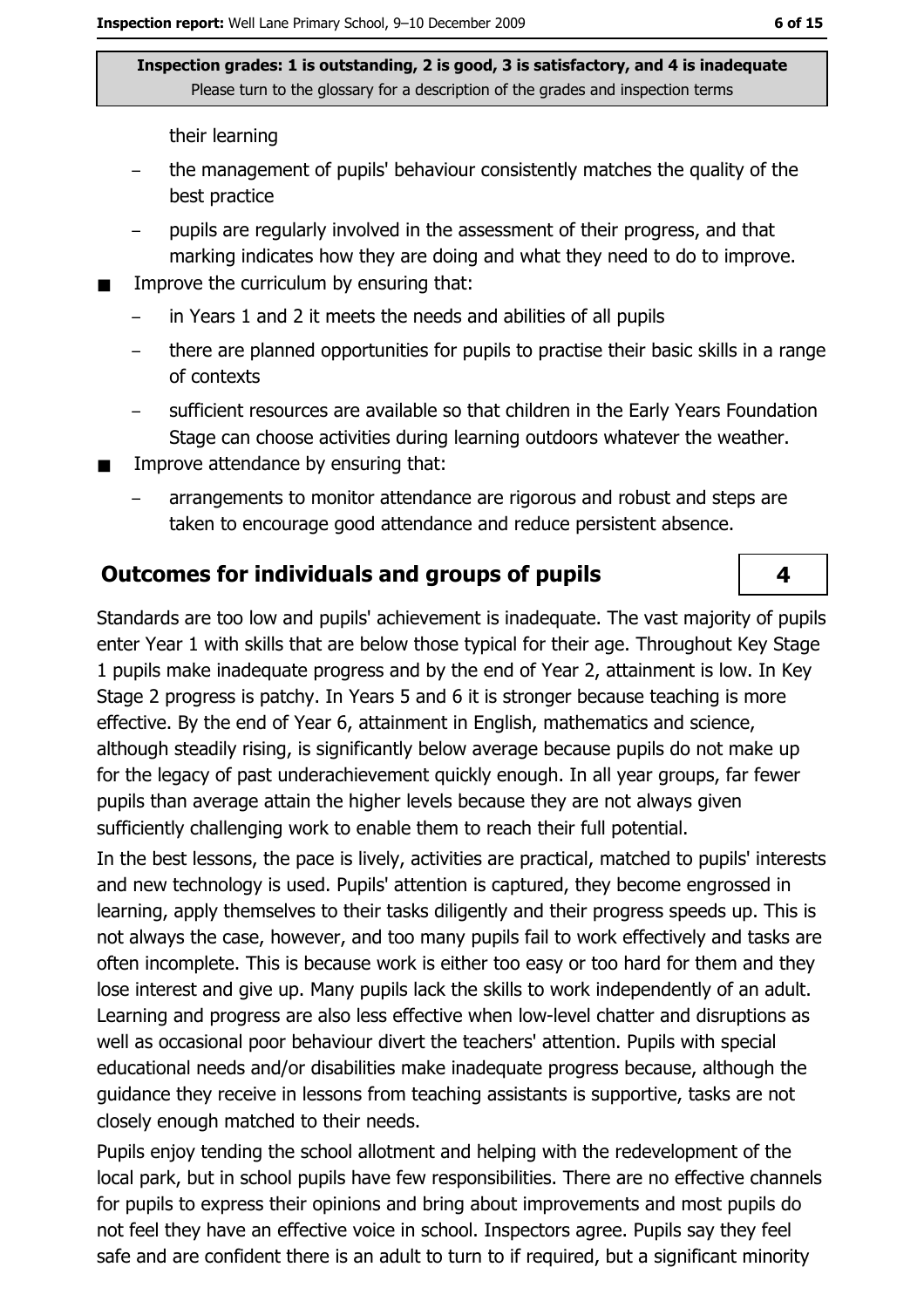their learning

- the management of pupils' behaviour consistently matches the quality of the best practice
- pupils are regularly involved in the assessment of their progress, and that marking indicates how they are doing and what they need to do to improve.
- Improve the curriculum by ensuring that:
	- in Years 1 and 2 it meets the needs and abilities of all pupils
	- there are planned opportunities for pupils to practise their basic skills in a range  $\equiv$ of contexts
	- sufficient resources are available so that children in the Early Years Foundation Stage can choose activities during learning outdoors whatever the weather.
- Improve attendance by ensuring that:  $\blacksquare$ 
	- arrangements to monitor attendance are rigorous and robust and steps are taken to encourage good attendance and reduce persistent absence.

### **Outcomes for individuals and groups of pupils**

Standards are too low and pupils' achievement is inadequate. The vast majority of pupils enter Year 1 with skills that are below those typical for their age. Throughout Key Stage 1 pupils make inadequate progress and by the end of Year 2, attainment is low. In Key Stage 2 progress is patchy. In Years 5 and 6 it is stronger because teaching is more effective. By the end of Year 6, attainment in English, mathematics and science, although steadily rising, is significantly below average because pupils do not make up for the legacy of past underachievement guickly enough. In all year groups, far fewer pupils than average attain the higher levels because they are not always given sufficiently challenging work to enable them to reach their full potential.

In the best lessons, the pace is lively, activities are practical, matched to pupils' interests and new technology is used. Pupils' attention is captured, they become engrossed in learning, apply themselves to their tasks diligently and their progress speeds up. This is not always the case, however, and too many pupils fail to work effectively and tasks are often incomplete. This is because work is either too easy or too hard for them and they lose interest and give up. Many pupils lack the skills to work independently of an adult. Learning and progress are also less effective when low-level chatter and disruptions as well as occasional poor behaviour divert the teachers' attention. Pupils with special educational needs and/or disabilities make inadequate progress because, although the guidance they receive in lessons from teaching assistants is supportive, tasks are not closely enough matched to their needs.

Pupils enjoy tending the school allotment and helping with the redevelopment of the local park, but in school pupils have few responsibilities. There are no effective channels for pupils to express their opinions and bring about improvements and most pupils do not feel they have an effective voice in school. Inspectors agree. Pupils say they feel safe and are confident there is an adult to turn to if required, but a significant minority

4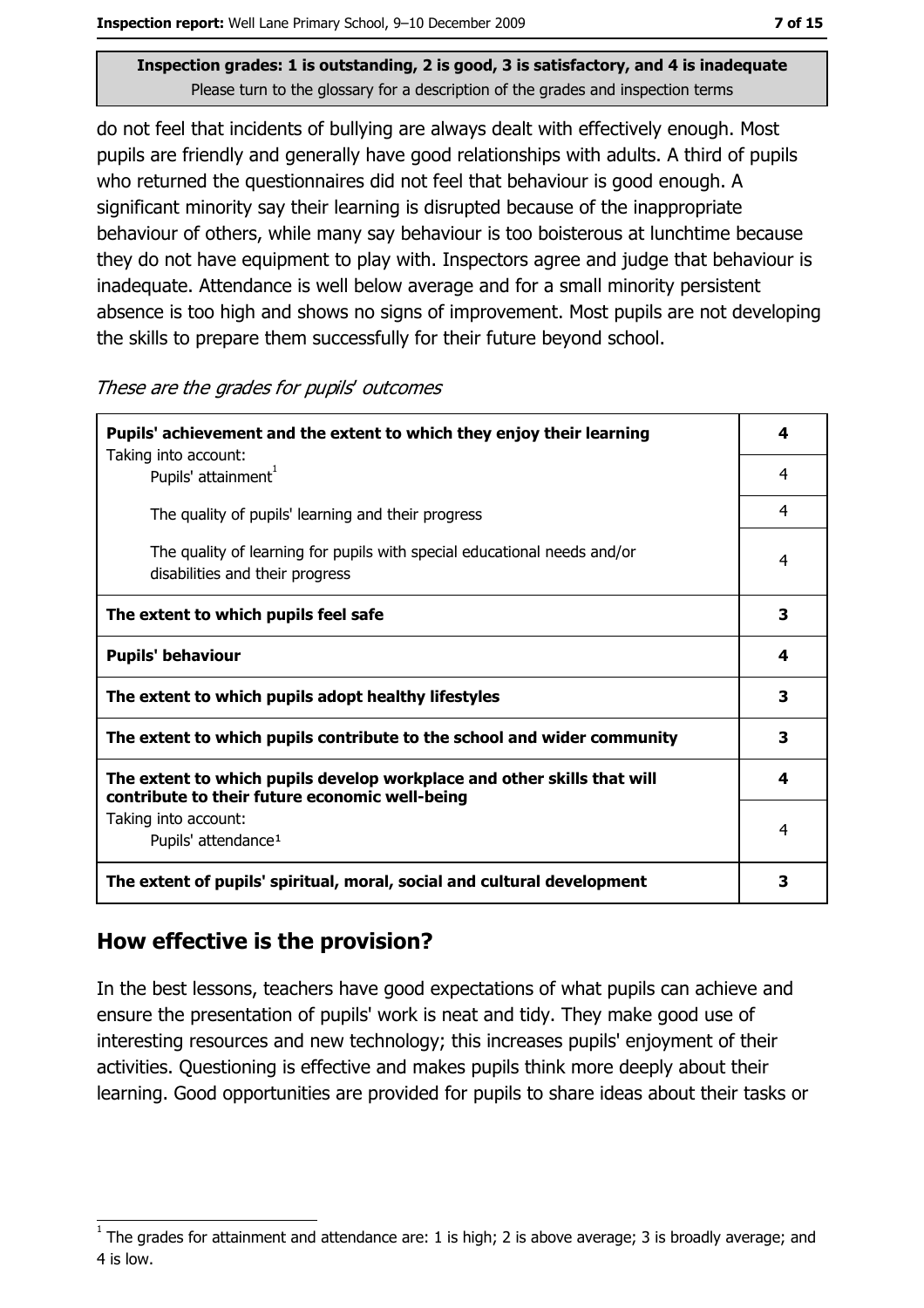do not feel that incidents of bullying are always dealt with effectively enough. Most pupils are friendly and generally have good relationships with adults. A third of pupils who returned the questionnaires did not feel that behaviour is good enough. A significant minority say their learning is disrupted because of the inappropriate behaviour of others, while many say behaviour is too boisterous at lunchtime because they do not have equipment to play with. Inspectors agree and judge that behaviour is inadequate. Attendance is well below average and for a small minority persistent absence is too high and shows no signs of improvement. Most pupils are not developing the skills to prepare them successfully for their future beyond school.

| These are the grades for pupils' outcomes |  |
|-------------------------------------------|--|
|-------------------------------------------|--|

| Pupils' achievement and the extent to which they enjoy their learning                                                     |   |  |
|---------------------------------------------------------------------------------------------------------------------------|---|--|
| Taking into account:<br>Pupils' attainment <sup>1</sup>                                                                   | 4 |  |
| The quality of pupils' learning and their progress                                                                        | 4 |  |
| The quality of learning for pupils with special educational needs and/or<br>disabilities and their progress               | 4 |  |
| The extent to which pupils feel safe                                                                                      | 3 |  |
| <b>Pupils' behaviour</b>                                                                                                  | 4 |  |
| The extent to which pupils adopt healthy lifestyles                                                                       | 3 |  |
| The extent to which pupils contribute to the school and wider community                                                   |   |  |
| The extent to which pupils develop workplace and other skills that will<br>contribute to their future economic well-being |   |  |
| Taking into account:<br>Pupils' attendance <sup>1</sup>                                                                   | 4 |  |
| The extent of pupils' spiritual, moral, social and cultural development                                                   |   |  |

### How effective is the provision?

In the best lessons, teachers have good expectations of what pupils can achieve and ensure the presentation of pupils' work is neat and tidy. They make good use of interesting resources and new technology; this increases pupils' enjoyment of their activities. Questioning is effective and makes pupils think more deeply about their learning. Good opportunities are provided for pupils to share ideas about their tasks or

The grades for attainment and attendance are: 1 is high; 2 is above average; 3 is broadly average; and 4 is low.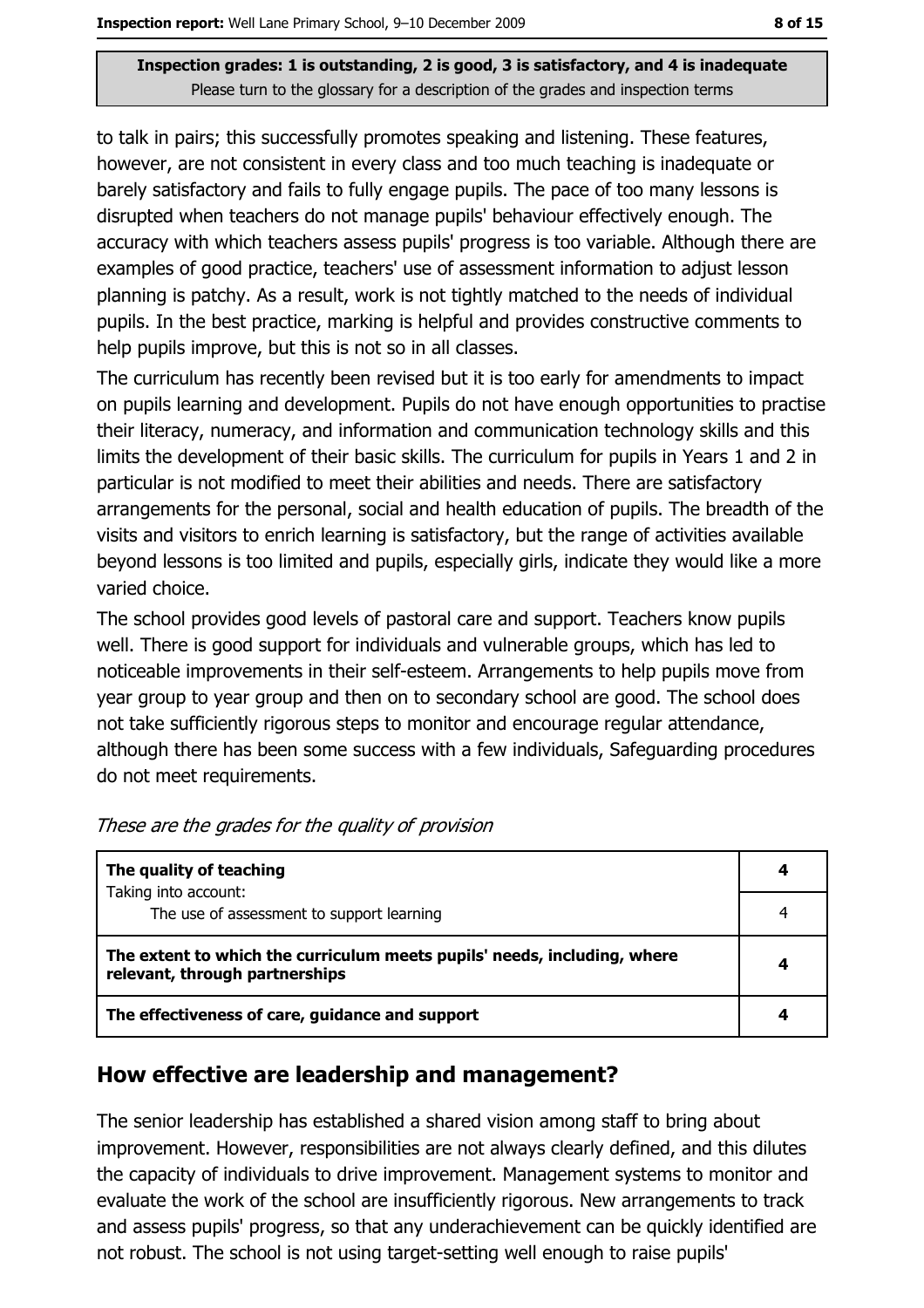to talk in pairs; this successfully promotes speaking and listening. These features, however, are not consistent in every class and too much teaching is inadequate or barely satisfactory and fails to fully engage pupils. The pace of too many lessons is disrupted when teachers do not manage pupils' behaviour effectively enough. The accuracy with which teachers assess pupils' progress is too variable. Although there are examples of good practice, teachers' use of assessment information to adjust lesson planning is patchy. As a result, work is not tightly matched to the needs of individual pupils. In the best practice, marking is helpful and provides constructive comments to help pupils improve, but this is not so in all classes.

The curriculum has recently been revised but it is too early for amendments to impact on pupils learning and development. Pupils do not have enough opportunities to practise their literacy, numeracy, and information and communication technology skills and this limits the development of their basic skills. The curriculum for pupils in Years 1 and 2 in particular is not modified to meet their abilities and needs. There are satisfactory arrangements for the personal, social and health education of pupils. The breadth of the visits and visitors to enrich learning is satisfactory, but the range of activities available beyond lessons is too limited and pupils, especially girls, indicate they would like a more varied choice.

The school provides good levels of pastoral care and support. Teachers know pupils well. There is good support for individuals and vulnerable groups, which has led to noticeable improvements in their self-esteem. Arrangements to help pupils move from year group to year group and then on to secondary school are good. The school does not take sufficiently rigorous steps to monitor and encourage regular attendance, although there has been some success with a few individuals, Safeguarding procedures do not meet requirements.

| The quality of teaching                                                                                    |   |
|------------------------------------------------------------------------------------------------------------|---|
| Taking into account:<br>The use of assessment to support learning                                          | 4 |
| The extent to which the curriculum meets pupils' needs, including, where<br>relevant, through partnerships |   |
| The effectiveness of care, guidance and support                                                            |   |

These are the grades for the quality of provision

### How effective are leadership and management?

The senior leadership has established a shared vision among staff to bring about improvement. However, responsibilities are not always clearly defined, and this dilutes the capacity of individuals to drive improvement. Management systems to monitor and evaluate the work of the school are insufficiently rigorous. New arrangements to track and assess pupils' progress, so that any underachievement can be quickly identified are not robust. The school is not using target-setting well enough to raise pupils'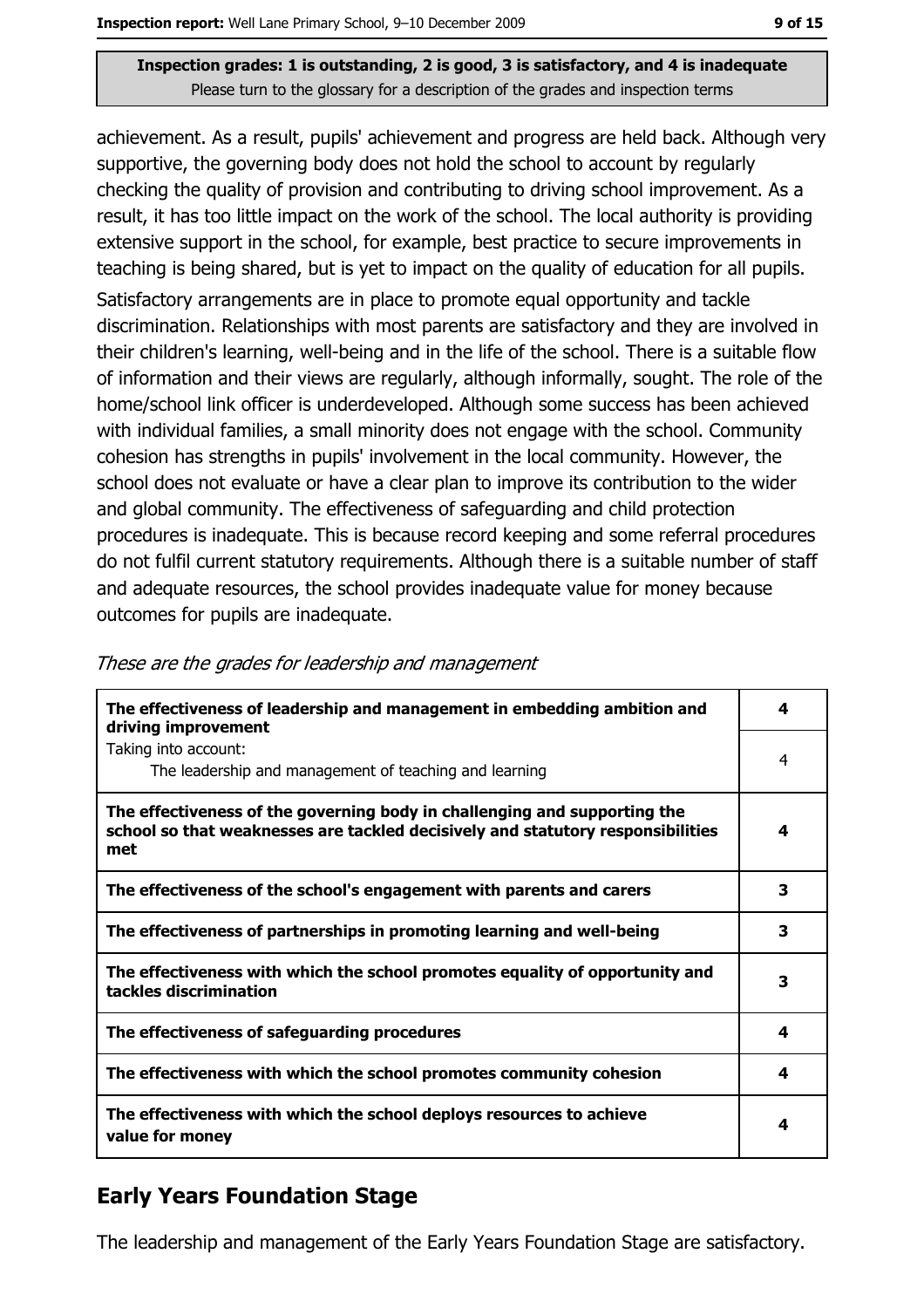achievement. As a result, pupils' achievement and progress are held back. Although very supportive, the governing body does not hold the school to account by regularly checking the quality of provision and contributing to driving school improvement. As a result, it has too little impact on the work of the school. The local authority is providing extensive support in the school, for example, best practice to secure improvements in teaching is being shared, but is yet to impact on the quality of education for all pupils. Satisfactory arrangements are in place to promote equal opportunity and tackle discrimination. Relationships with most parents are satisfactory and they are involved in their children's learning, well-being and in the life of the school. There is a suitable flow of information and their views are regularly, although informally, sought. The role of the home/school link officer is underdeveloped. Although some success has been achieved with individual families, a small minority does not engage with the school. Community cohesion has strengths in pupils' involvement in the local community. However, the school does not evaluate or have a clear plan to improve its contribution to the wider and global community. The effectiveness of safeguarding and child protection procedures is inadequate. This is because record keeping and some referral procedures do not fulfil current statutory requirements. Although there is a suitable number of staff and adequate resources, the school provides inadequate value for money because outcomes for pupils are inadequate.

| These are the grades for leadership and management |  |  |
|----------------------------------------------------|--|--|
|----------------------------------------------------|--|--|

| The effectiveness of leadership and management in embedding ambition and<br>driving improvement                                                                     | 4 |
|---------------------------------------------------------------------------------------------------------------------------------------------------------------------|---|
| Taking into account:<br>The leadership and management of teaching and learning                                                                                      | 4 |
| The effectiveness of the governing body in challenging and supporting the<br>school so that weaknesses are tackled decisively and statutory responsibilities<br>met | 4 |
| The effectiveness of the school's engagement with parents and carers                                                                                                | 3 |
| The effectiveness of partnerships in promoting learning and well-being                                                                                              | 3 |
| The effectiveness with which the school promotes equality of opportunity and<br>tackles discrimination                                                              | 3 |
| The effectiveness of safeguarding procedures                                                                                                                        | 4 |
| The effectiveness with which the school promotes community cohesion                                                                                                 | 4 |
| The effectiveness with which the school deploys resources to achieve<br>value for money                                                                             | 4 |

# **Early Years Foundation Stage**

The leadership and management of the Early Years Foundation Stage are satisfactory.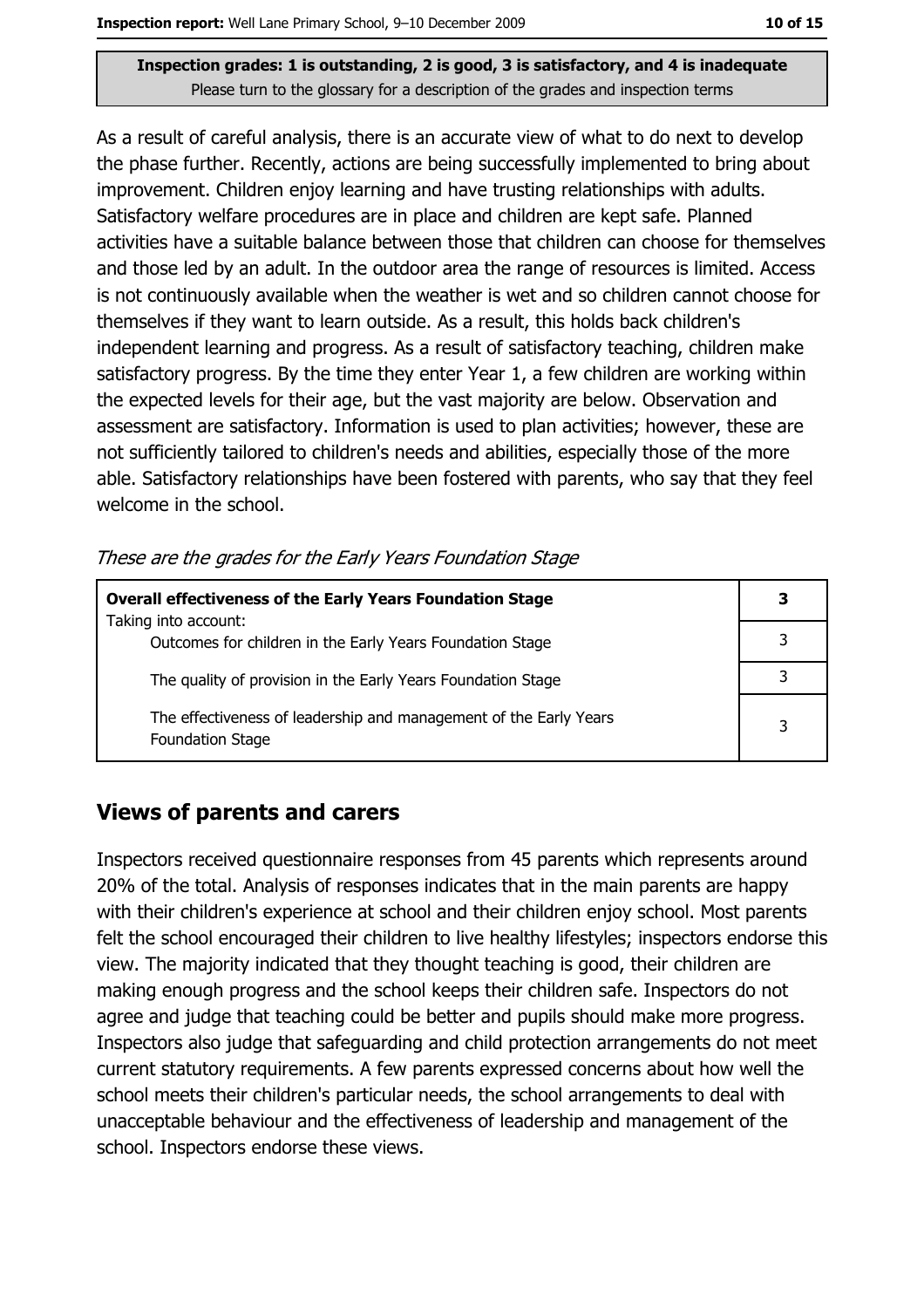As a result of careful analysis, there is an accurate view of what to do next to develop the phase further. Recently, actions are being successfully implemented to bring about improvement. Children enjoy learning and have trusting relationships with adults. Satisfactory welfare procedures are in place and children are kept safe. Planned activities have a suitable balance between those that children can choose for themselves and those led by an adult. In the outdoor area the range of resources is limited. Access is not continuously available when the weather is wet and so children cannot choose for themselves if they want to learn outside. As a result, this holds back children's independent learning and progress. As a result of satisfactory teaching, children make satisfactory progress. By the time they enter Year 1, a few children are working within the expected levels for their age, but the vast majority are below. Observation and assessment are satisfactory. Information is used to plan activities; however, these are not sufficiently tailored to children's needs and abilities, especially those of the more able. Satisfactory relationships have been fostered with parents, who say that they feel welcome in the school.

These are the grades for the Early Years Foundation Stage

| <b>Overall effectiveness of the Early Years Foundation Stage</b>                             | 3 |
|----------------------------------------------------------------------------------------------|---|
| Taking into account:<br>Outcomes for children in the Early Years Foundation Stage            |   |
| The quality of provision in the Early Years Foundation Stage                                 |   |
| The effectiveness of leadership and management of the Early Years<br><b>Foundation Stage</b> | 3 |

# **Views of parents and carers**

Inspectors received questionnaire responses from 45 parents which represents around 20% of the total. Analysis of responses indicates that in the main parents are happy with their children's experience at school and their children enjoy school. Most parents felt the school encouraged their children to live healthy lifestyles; inspectors endorse this view. The majority indicated that they thought teaching is good, their children are making enough progress and the school keeps their children safe. Inspectors do not agree and judge that teaching could be better and pupils should make more progress. Inspectors also judge that safeguarding and child protection arrangements do not meet current statutory requirements. A few parents expressed concerns about how well the school meets their children's particular needs, the school arrangements to deal with unacceptable behaviour and the effectiveness of leadership and management of the school. Inspectors endorse these views.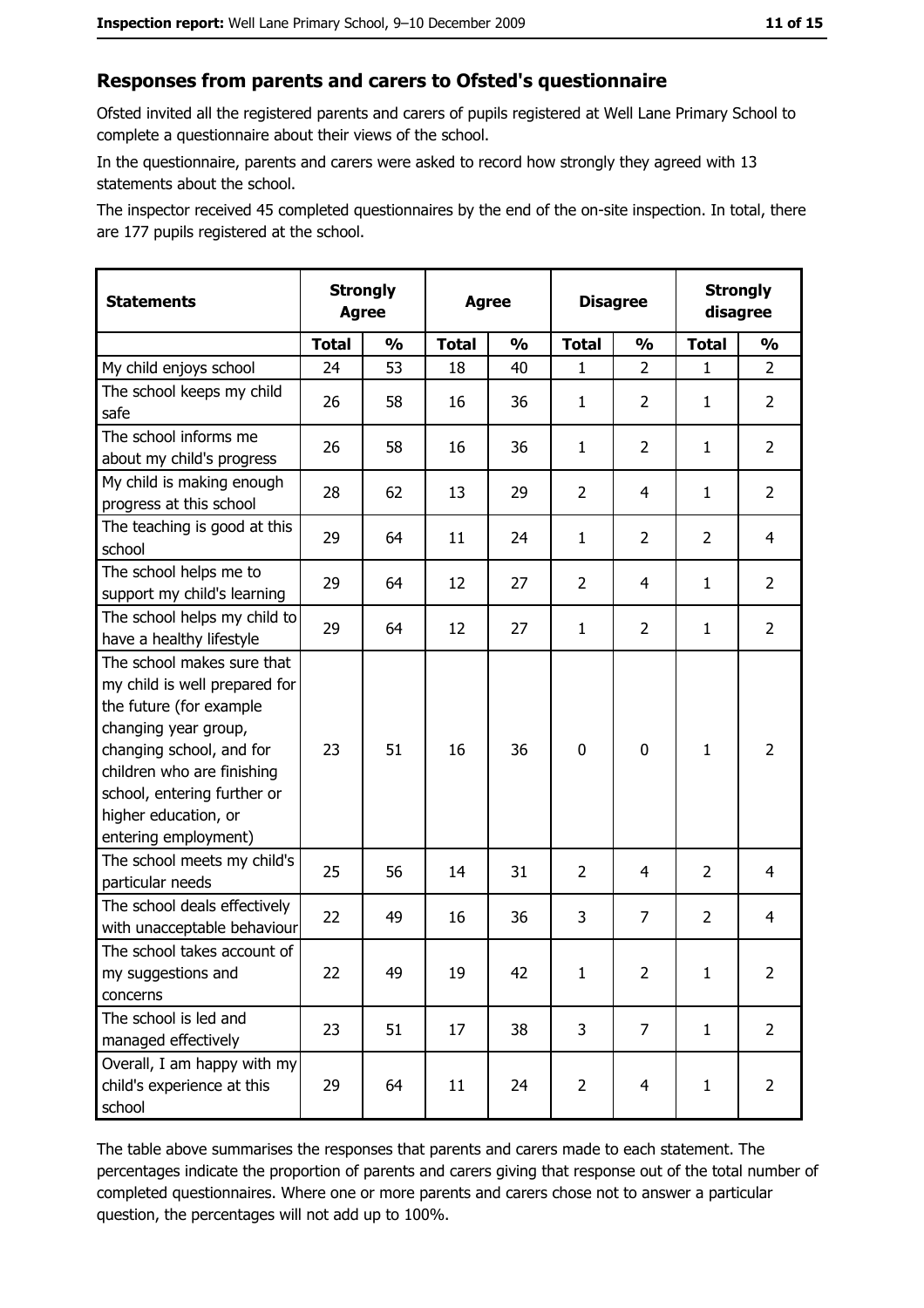#### Responses from parents and carers to Ofsted's questionnaire

Ofsted invited all the registered parents and carers of pupils registered at Well Lane Primary School to complete a questionnaire about their views of the school.

In the questionnaire, parents and carers were asked to record how strongly they agreed with 13 statements about the school.

The inspector received 45 completed questionnaires by the end of the on-site inspection. In total, there are 177 pupils registered at the school.

| <b>Statements</b>                                                                                                                                                                                                                                       | <b>Strongly</b><br><b>Agree</b> |               | <b>Agree</b> |               | <b>Disagree</b> |                |                | <b>Strongly</b><br>disagree |
|---------------------------------------------------------------------------------------------------------------------------------------------------------------------------------------------------------------------------------------------------------|---------------------------------|---------------|--------------|---------------|-----------------|----------------|----------------|-----------------------------|
|                                                                                                                                                                                                                                                         | <b>Total</b>                    | $\frac{1}{2}$ | <b>Total</b> | $\frac{0}{0}$ | <b>Total</b>    | $\frac{1}{2}$  | <b>Total</b>   | $\frac{1}{2}$               |
| My child enjoys school                                                                                                                                                                                                                                  | 24                              | 53            | 18           | 40            | 1               | $\overline{2}$ | $\mathbf{1}$   | $\overline{2}$              |
| The school keeps my child<br>safe                                                                                                                                                                                                                       | 26                              | 58            | 16           | 36            | 1               | $\overline{2}$ | 1              | $\overline{2}$              |
| The school informs me<br>about my child's progress                                                                                                                                                                                                      | 26                              | 58            | 16           | 36            | $\mathbf{1}$    | $\overline{2}$ | 1              | $\overline{2}$              |
| My child is making enough<br>progress at this school                                                                                                                                                                                                    | 28                              | 62            | 13           | 29            | $\overline{2}$  | 4              | 1              | $\overline{2}$              |
| The teaching is good at this<br>school                                                                                                                                                                                                                  | 29                              | 64            | 11           | 24            | $\mathbf{1}$    | $\overline{2}$ | $\overline{2}$ | 4                           |
| The school helps me to<br>support my child's learning                                                                                                                                                                                                   | 29                              | 64            | 12           | 27            | $\overline{2}$  | 4              | 1              | $\overline{2}$              |
| The school helps my child to<br>have a healthy lifestyle                                                                                                                                                                                                | 29                              | 64            | 12           | 27            | $\mathbf{1}$    | $\overline{2}$ | 1              | $\overline{2}$              |
| The school makes sure that<br>my child is well prepared for<br>the future (for example<br>changing year group,<br>changing school, and for<br>children who are finishing<br>school, entering further or<br>higher education, or<br>entering employment) | 23                              | 51            | 16           | 36            | $\mathbf 0$     | 0              | 1              | $\overline{2}$              |
| The school meets my child's<br>particular needs                                                                                                                                                                                                         | 25                              | 56            | 14           | 31            | $\overline{2}$  | 4              | $\overline{2}$ | 4                           |
| The school deals effectively<br>with unacceptable behaviour                                                                                                                                                                                             | 22                              | 49            | 16           | 36            | 3               | $\overline{7}$ | $\overline{2}$ | $\overline{4}$              |
| The school takes account of<br>my suggestions and<br>concerns                                                                                                                                                                                           | 22                              | 49            | 19           | 42            | $\mathbf{1}$    | $\overline{2}$ | $\mathbf{1}$   | $\overline{2}$              |
| The school is led and<br>managed effectively                                                                                                                                                                                                            | 23                              | 51            | 17           | 38            | 3               | $\overline{7}$ | $\mathbf{1}$   | $\overline{2}$              |
| Overall, I am happy with my<br>child's experience at this<br>school                                                                                                                                                                                     | 29                              | 64            | 11           | 24            | $\overline{2}$  | 4              | $\mathbf{1}$   | $\overline{2}$              |

The table above summarises the responses that parents and carers made to each statement. The percentages indicate the proportion of parents and carers giving that response out of the total number of completed questionnaires. Where one or more parents and carers chose not to answer a particular question, the percentages will not add up to 100%.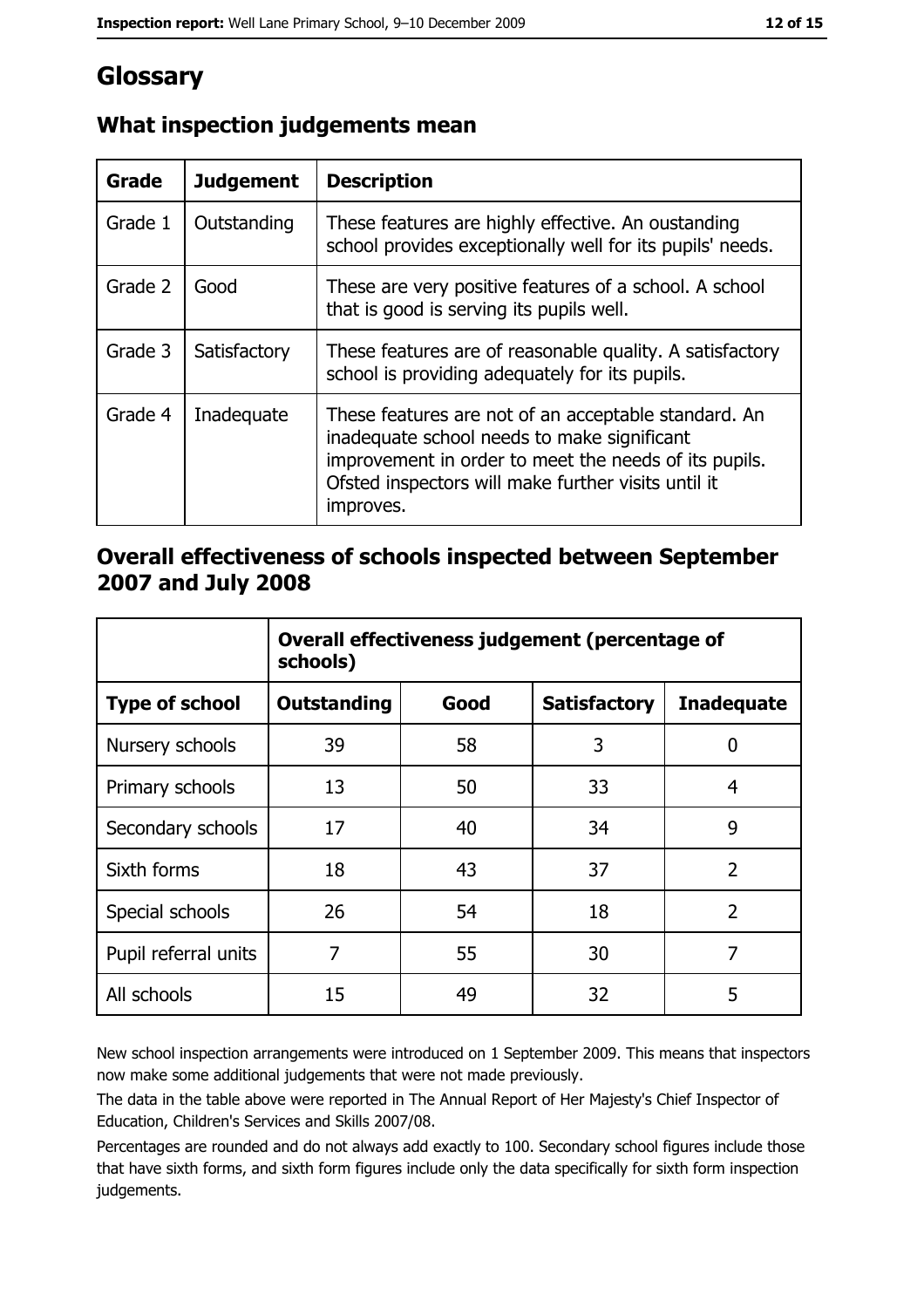# Glossary

| <b>Grade</b> | <b>Judgement</b> | <b>Description</b>                                                                                                                                                                                                               |
|--------------|------------------|----------------------------------------------------------------------------------------------------------------------------------------------------------------------------------------------------------------------------------|
| Grade 1      | Outstanding      | These features are highly effective. An oustanding<br>school provides exceptionally well for its pupils' needs.                                                                                                                  |
| Grade 2      | Good             | These are very positive features of a school. A school<br>that is good is serving its pupils well.                                                                                                                               |
| Grade 3      | Satisfactory     | These features are of reasonable quality. A satisfactory<br>school is providing adequately for its pupils.                                                                                                                       |
| Grade 4      | Inadequate       | These features are not of an acceptable standard. An<br>inadequate school needs to make significant<br>improvement in order to meet the needs of its pupils.<br>Ofsted inspectors will make further visits until it<br>improves. |

# What inspection judgements mean

### Overall effectiveness of schools inspected between September 2007 and July 2008

|                       | Overall effectiveness judgement (percentage of<br>schools) |      |                     |                   |
|-----------------------|------------------------------------------------------------|------|---------------------|-------------------|
| <b>Type of school</b> | <b>Outstanding</b>                                         | Good | <b>Satisfactory</b> | <b>Inadequate</b> |
| Nursery schools       | 39                                                         | 58   | 3                   | 0                 |
| Primary schools       | 13                                                         | 50   | 33                  | 4                 |
| Secondary schools     | 17                                                         | 40   | 34                  | 9                 |
| Sixth forms           | 18                                                         | 43   | 37                  | $\overline{2}$    |
| Special schools       | 26                                                         | 54   | 18                  | $\overline{2}$    |
| Pupil referral units  | 7                                                          | 55   | 30                  | 7                 |
| All schools           | 15                                                         | 49   | 32                  | 5                 |

New school inspection arrangements were introduced on 1 September 2009. This means that inspectors now make some additional judgements that were not made previously.

The data in the table above were reported in The Annual Report of Her Majesty's Chief Inspector of Education, Children's Services and Skills 2007/08.

Percentages are rounded and do not always add exactly to 100. Secondary school figures include those that have sixth forms, and sixth form figures include only the data specifically for sixth form inspection judgements.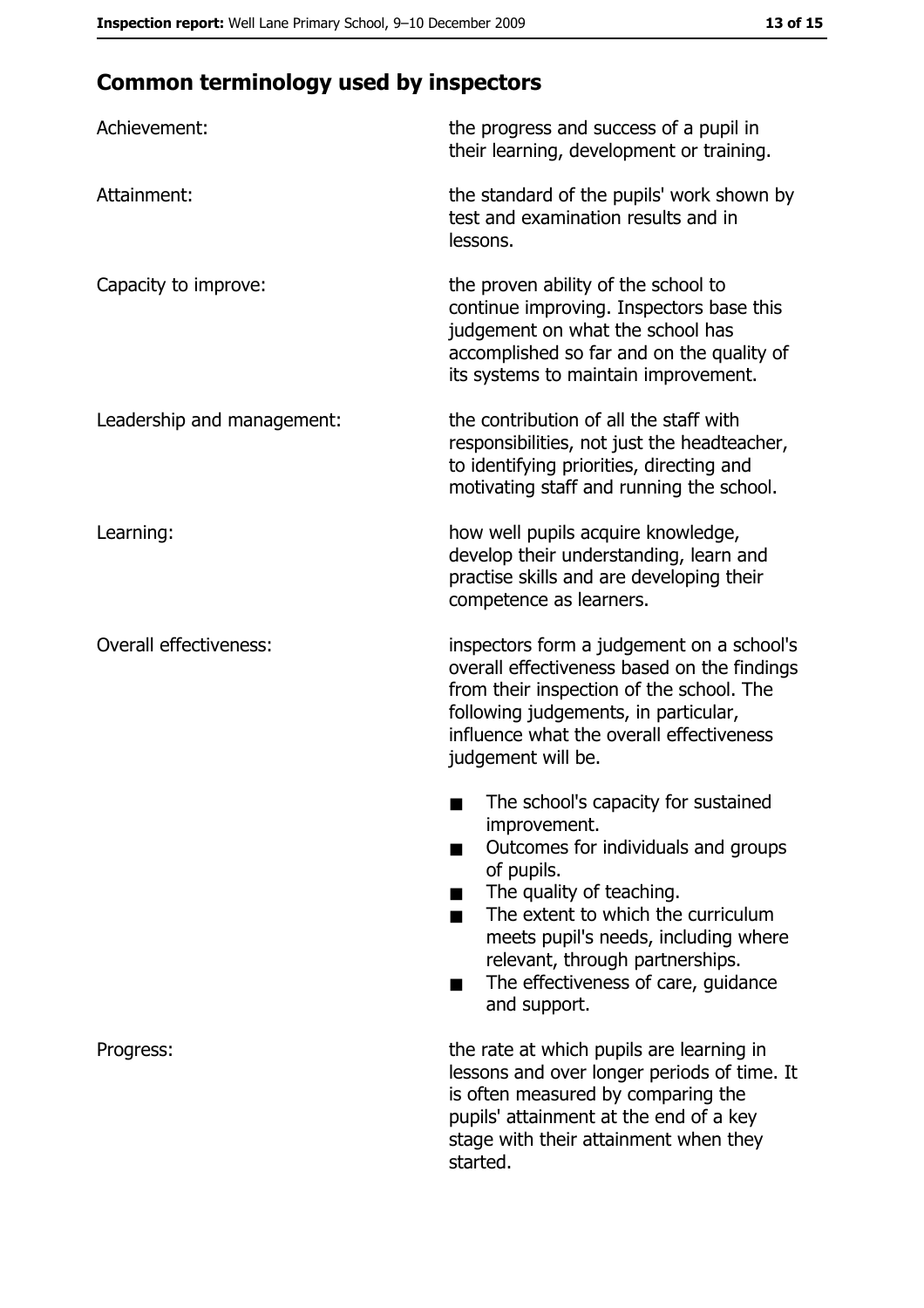# **Common terminology used by inspectors**

| Achievement:                  | the progress and success of a pupil in<br>their learning, development or training.                                                                                                                                                                                                                                |
|-------------------------------|-------------------------------------------------------------------------------------------------------------------------------------------------------------------------------------------------------------------------------------------------------------------------------------------------------------------|
| Attainment:                   | the standard of the pupils' work shown by<br>test and examination results and in<br>lessons.                                                                                                                                                                                                                      |
| Capacity to improve:          | the proven ability of the school to<br>continue improving. Inspectors base this<br>judgement on what the school has<br>accomplished so far and on the quality of<br>its systems to maintain improvement.                                                                                                          |
| Leadership and management:    | the contribution of all the staff with<br>responsibilities, not just the headteacher,<br>to identifying priorities, directing and<br>motivating staff and running the school.                                                                                                                                     |
| Learning:                     | how well pupils acquire knowledge,<br>develop their understanding, learn and<br>practise skills and are developing their<br>competence as learners.                                                                                                                                                               |
| <b>Overall effectiveness:</b> | inspectors form a judgement on a school's<br>overall effectiveness based on the findings<br>from their inspection of the school. The<br>following judgements, in particular,<br>influence what the overall effectiveness<br>judgement will be.                                                                    |
|                               | The school's capacity for sustained<br>improvement.<br>Outcomes for individuals and groups<br>of pupils.<br>The quality of teaching.<br>The extent to which the curriculum<br>meets pupil's needs, including where<br>relevant, through partnerships.<br>The effectiveness of care, guidance<br>٠<br>and support. |
| Progress:                     | the rate at which pupils are learning in<br>lessons and over longer periods of time. It<br>is often measured by comparing the<br>pupils' attainment at the end of a key<br>stage with their attainment when they<br>started.                                                                                      |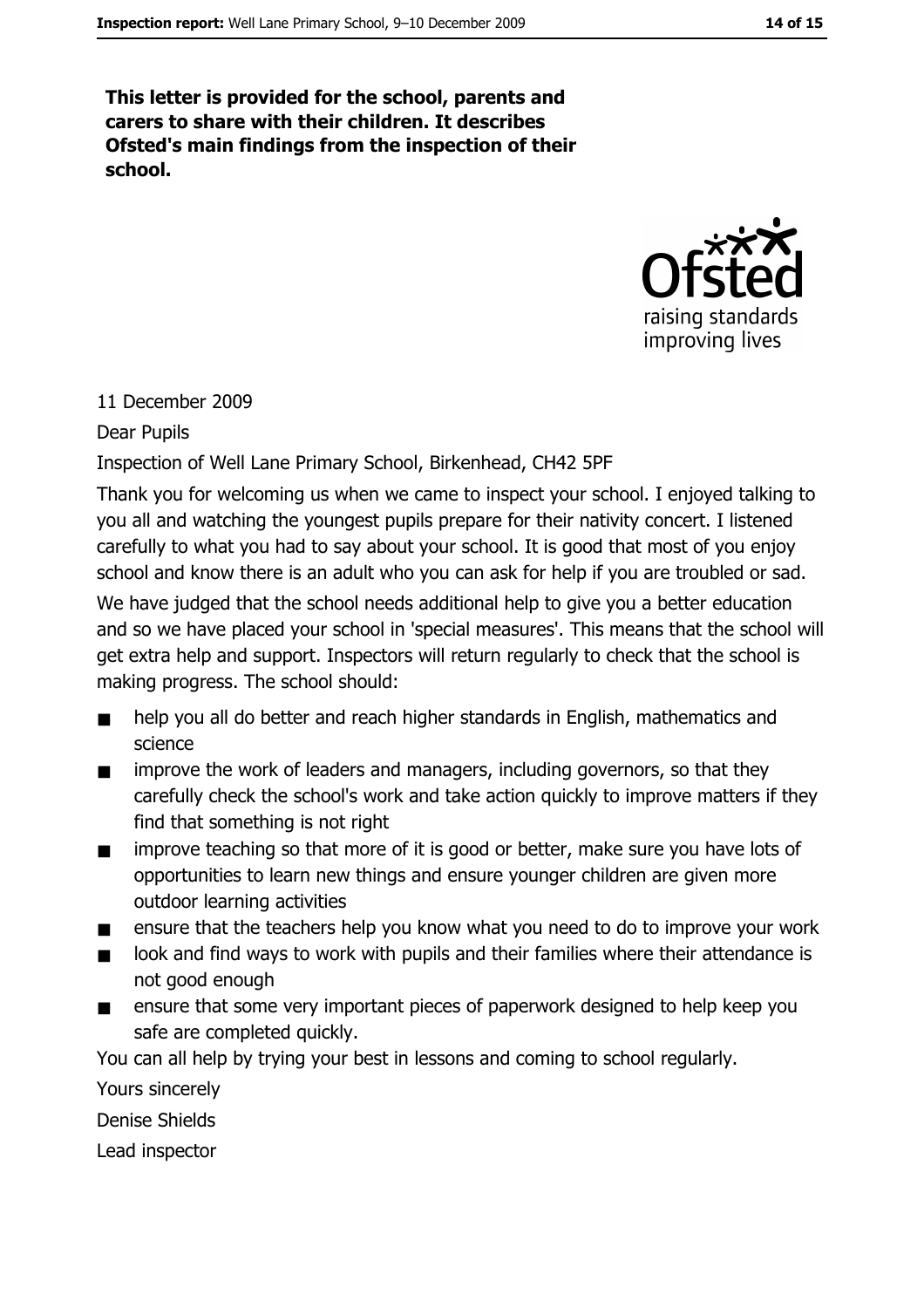This letter is provided for the school, parents and carers to share with their children. It describes Ofsted's main findings from the inspection of their school.



#### 11 December 2009

#### Dear Pupils

Inspection of Well Lane Primary School, Birkenhead, CH42 5PF

Thank you for welcoming us when we came to inspect your school. I enjoyed talking to you all and watching the youngest pupils prepare for their nativity concert. I listened carefully to what you had to say about your school. It is good that most of you enjoy school and know there is an adult who you can ask for help if you are troubled or sad.

We have judged that the school needs additional help to give you a better education and so we have placed your school in 'special measures'. This means that the school will get extra help and support. Inspectors will return regularly to check that the school is making progress. The school should:

- help you all do better and reach higher standards in English, mathematics and science
- improve the work of leaders and managers, including governors, so that they  $\blacksquare$ carefully check the school's work and take action quickly to improve matters if they find that something is not right
- improve teaching so that more of it is good or better, make sure you have lots of  $\blacksquare$ opportunities to learn new things and ensure younger children are given more outdoor learning activities
- ensure that the teachers help you know what you need to do to improve your work  $\blacksquare$
- look and find ways to work with pupils and their families where their attendance is  $\blacksquare$ not good enough
- ensure that some very important pieces of paperwork designed to help keep you  $\blacksquare$ safe are completed quickly.

You can all help by trying your best in lessons and coming to school regularly.

Yours sincerely

**Denise Shields** 

Lead inspector